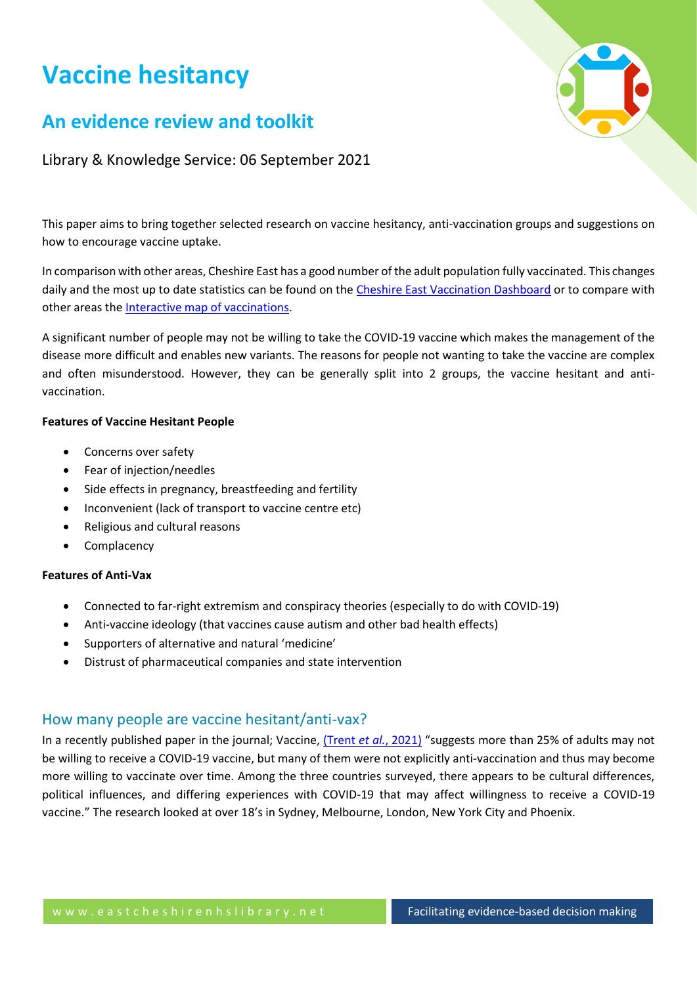# **Vaccine hesitancy**

## **An evidence review and toolkit**

Library & Knowledge Service: 06 September 2021

This paper aims to bring together selected research on vaccine hesitancy, anti-vaccination groups and suggestions on how to encourage vaccine uptake.

In comparison with other areas, Cheshire East has a good number of the adult population fully vaccinated. This changes daily and the most up to date statistics can be found on the [Cheshire East Vaccination Dashboard](https://coronavirus.data.gov.uk/details/vaccinations?areaType=ltla&areaName=Cheshire%20East) or to compare with other areas the [Interactive map of vaccinations.](https://coronavirus.data.gov.uk/details/interactive-map/vaccinations)

A significant number of people may not be willing to take the COVID-19 vaccine which makes the management of the disease more difficult and enables new variants. The reasons for people not wanting to take the vaccine are complex and often misunderstood. However, they can be generally split into 2 groups, the vaccine hesitant and antivaccination.

## **Features of Vaccine Hesitant People**

- Concerns over safety
- Fear of injection/needles
- Side effects in pregnancy, breastfeeding and fertility
- Inconvenient (lack of transport to vaccine centre etc)
- Religious and cultural reasons
- Complacency

#### **Features of Anti-Vax**

- Connected to far-right extremism and conspiracy theories (especially to do with COVID-19)
- Anti-vaccine ideology (that vaccines cause autism and other bad health effects)
- Supporters of alternative and natural 'medicine'
- Distrust of pharmaceutical companies and state intervention

## How many people are vaccine hesitant/anti-vax?

In a recently published paper in the journal; Vaccine, [\(Trent](https://www.sciencedirect.com/science/article/pii/S0264410X21007982?via%3Dihub) *et al.*, 2021) "suggests more than 25% of adults may not be willing to receive a COVID-19 vaccine, but many of them were not explicitly anti-vaccination and thus may become more willing to vaccinate over time. Among the three countries surveyed, there appears to be cultural differences, political influences, and differing experiences with COVID-19 that may affect willingness to receive a COVID-19 vaccine." The research looked at over 18's in Sydney, Melbourne, London, New York City and Phoenix.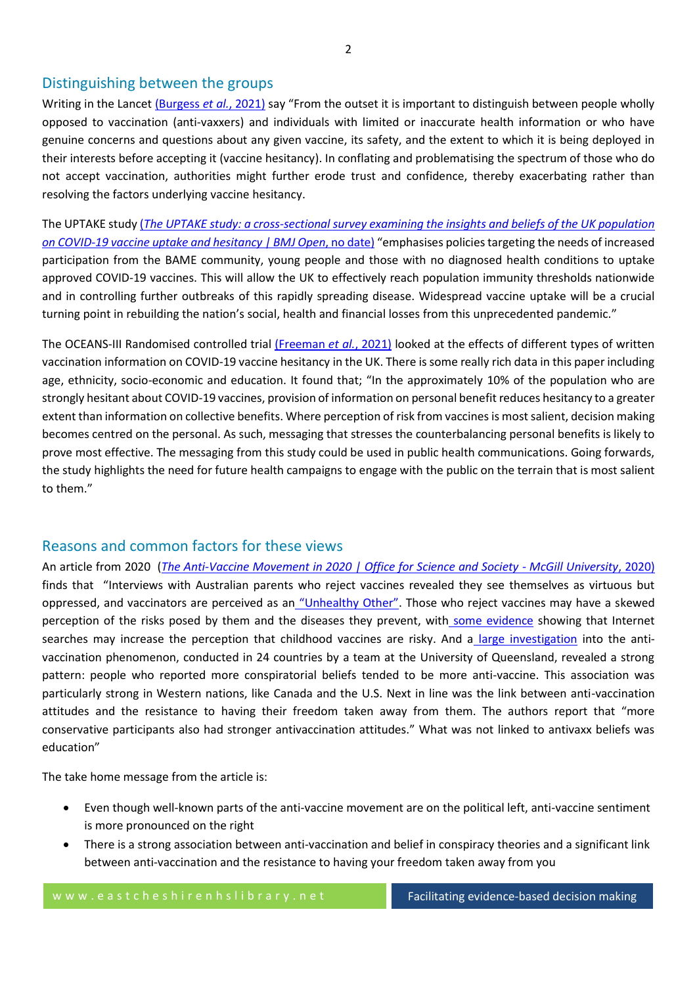## Distinguishing between the groups

Writing in the Lancet [\(Burgess](https://www.thelancet.com/journals/lancet/article/PIIS0140-6736(20)32642-8/fulltext) *et al.*, 2021) say "From the outset it is important to distinguish between people wholly opposed to vaccination (anti-vaxxers) and individuals with limited or inaccurate health information or who have genuine concerns and questions about any given vaccine, its safety, and the extent to which it is being deployed in their interests before accepting it (vaccine hesitancy). In conflating and problematising the spectrum of those who do not accept vaccination, authorities might further erode trust and confidence, thereby exacerbating rather than resolving the factors underlying vaccine hesitancy.

The UPTAKE study (*[The UPTAKE study: a cross-sectional survey examining the insights and beliefs of the UK population](https://bmjopen.bmj.com/content/11/6/e048856)  on COVID-19 vaccine uptake and hesitancy | BMJ Open*, no date) "emphasises policies targeting the needs of increased participation from the BAME community, young people and those with no diagnosed health conditions to uptake approved COVID-19 vaccines. This will allow the UK to effectively reach population immunity thresholds nationwide and in controlling further outbreaks of this rapidly spreading disease. Widespread vaccine uptake will be a crucial turning point in rebuilding the nation's social, health and financial losses from this unprecedented pandemic."

The OCEANS-III Randomised controlled trial [\(Freeman](https://www.thelancet.com/pdfs/journals/lanpub/PIIS2468-2667(21)00096-7.pdf) *et al.*, 2021) looked at the effects of different types of written vaccination information on COVID-19 vaccine hesitancy in the UK. There is some really rich data in this paper including age, ethnicity, socio-economic and education. It found that; "In the approximately 10% of the population who are strongly hesitant about COVID-19 vaccines, provision of information on personal benefit reduces hesitancy to a greater extent than information on collective benefits. Where perception of risk from vaccines is most salient, decision making becomes centred on the personal. As such, messaging that stresses the counterbalancing personal benefits is likely to prove most effective. The messaging from this study could be used in public health communications. Going forwards, the study highlights the need for future health campaigns to engage with the public on the terrain that is most salient to them."

## Reasons and common factors for these views

An article from 2020 (*[The Anti-Vaccine Movement in 2020 | Office for Science and Society -](https://www.mcgill.ca/oss/article/covid-19-pseudoscience/anti-vaccine-movement-2020) McGill University*, 2020) finds that "Interviews with Australian parents who reject vaccines revealed they see themselves as virtuous but oppressed, and vaccinators are perceived as an ["Unhealthy Other"](https://www.sciencedirect.com/science/article/pii/S0264410X1830149X). Those who reject vaccines may have a skewed perception of the risks posed by them and the diseases they prevent, with [some evidence](http://publichealth.jmir.org/2018/1/e7/) showing that Internet searches may increase the perception that childhood vaccines are risky. And a [large investigation](https://psycnet.apa.org/doiLanding?doi=10.1037%2Fhea0000586) into the antivaccination phenomenon, conducted in 24 countries by a team at the University of Queensland, revealed a strong pattern: people who reported more conspiratorial beliefs tended to be more anti-vaccine. This association was particularly strong in Western nations, like Canada and the U.S. Next in line was the link between anti-vaccination attitudes and the resistance to having their freedom taken away from them. The authors report that "more conservative participants also had stronger antivaccination attitudes." What was not linked to antivaxx beliefs was education"

The take home message from the article is:

- Even though well-known parts of the anti-vaccine movement are on the political left, anti-vaccine sentiment is more pronounced on the right
- There is a strong association between anti-vaccination and belief in conspiracy theories and a significant link between anti-vaccination and the resistance to having your freedom taken away from you

w w w . e a s t c h e s h i r e n h s l i b r a r y . n e t Facilitating evidence-based decision making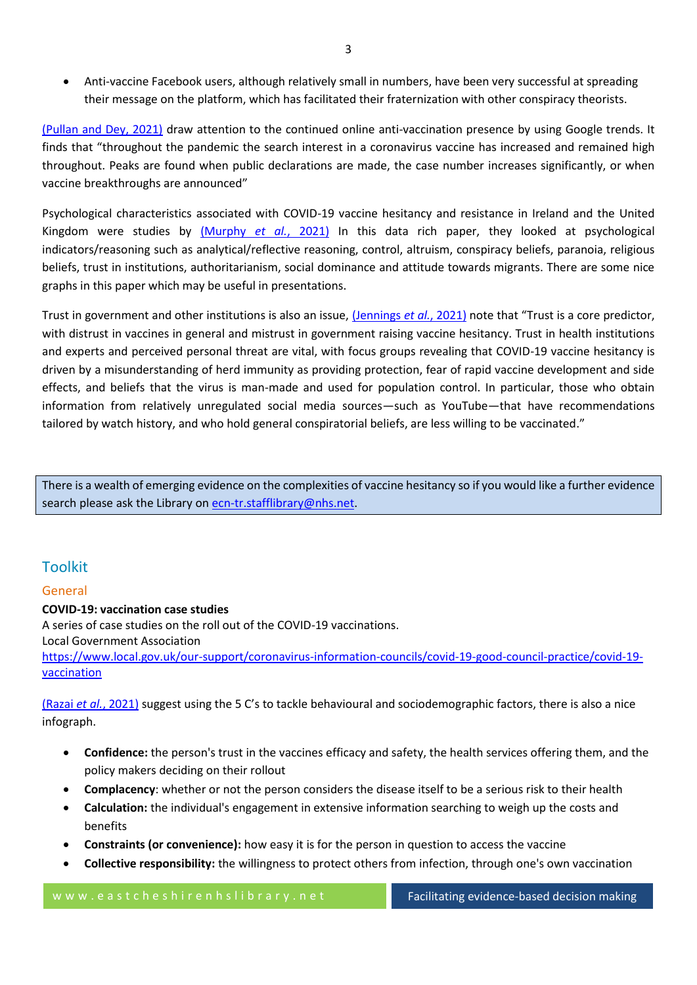• Anti-vaccine Facebook users, although relatively small in numbers, have been very successful at spreading their message on the platform, which has facilitated their fraternization with other conspiracy theorists.

[\(Pullan and Dey, 2021\)](https://www.ncbi.nlm.nih.gov/pmc/articles/PMC7936546/) draw attention to the continued online anti-vaccination presence by using Google trends. It finds that "throughout the pandemic the search interest in a coronavirus vaccine has increased and remained high throughout. Peaks are found when public declarations are made, the case number increases significantly, or when vaccine breakthroughs are announced"

Psychological characteristics associated with COVID-19 vaccine hesitancy and resistance in Ireland and the United Kingdom were studies by [\(Murphy](https://www.nature.com/articles/s41467-020-20226-9) *et al.*, 2021) In this data rich paper, they looked at psychological indicators/reasoning such as analytical/reflective reasoning, control, altruism, conspiracy beliefs, paranoia, religious beliefs, trust in institutions, authoritarianism, social dominance and attitude towards migrants. There are some nice graphs in this paper which may be useful in presentations.

Trust in government and other institutions is also an issue[, \(Jennings](http://europepmc.org/article/MED/34204971?singleResult=true) *et al.*, 2021) note that "Trust is a core predictor, with distrust in vaccines in general and mistrust in government raising vaccine hesitancy. Trust in health institutions and experts and perceived personal threat are vital, with focus groups revealing that COVID-19 vaccine hesitancy is driven by a misunderstanding of herd immunity as providing protection, fear of rapid vaccine development and side effects, and beliefs that the virus is man-made and used for population control. In particular, those who obtain information from relatively unregulated social media sources—such as YouTube—that have recommendations tailored by watch history, and who hold general conspiratorial beliefs, are less willing to be vaccinated."

There is a wealth of emerging evidence on the complexities of vaccine hesitancy so if you would like a further evidence search please ask the Library on [ecn-tr.stafflibrary@nhs.net.](mailto:ecn-tr.stafflibrary@nhs.net)

## Toolkit

## General

### **COVID-19: vaccination case studies**

A series of case studies on the roll out of the COVID-19 vaccinations.

Local Government Association

[https://www.local.gov.uk/our-support/coronavirus-information-councils/covid-19-good-council-practice/covid-19](https://www.local.gov.uk/our-support/coronavirus-information-councils/covid-19-good-council-practice/covid-19-vaccination) [vaccination](https://www.local.gov.uk/our-support/coronavirus-information-councils/covid-19-good-council-practice/covid-19-vaccination)

(Razai *et al.*[, 2021\)](https://journals.sagepub.com/doi/full/10.1177/01410768211018951) suggest using the 5 C's to tackle behavioural and sociodemographic factors, there is also a nice infograph.

- **Confidence:** the person's trust in the vaccines efficacy and safety, the health services offering them, and the policy makers deciding on their rollout
- **Complacency**: whether or not the person considers the disease itself to be a serious risk to their health
- **Calculation:** the individual's engagement in extensive information searching to weigh up the costs and benefits
- **Constraints (or convenience):** how easy it is for the person in question to access the vaccine
- **Collective responsibility:** the willingness to protect others from infection, through one's own vaccination

w w w . e a s t c h e s h i r e n h s l i b r a r y . n e t Facilitating evidence-based decision making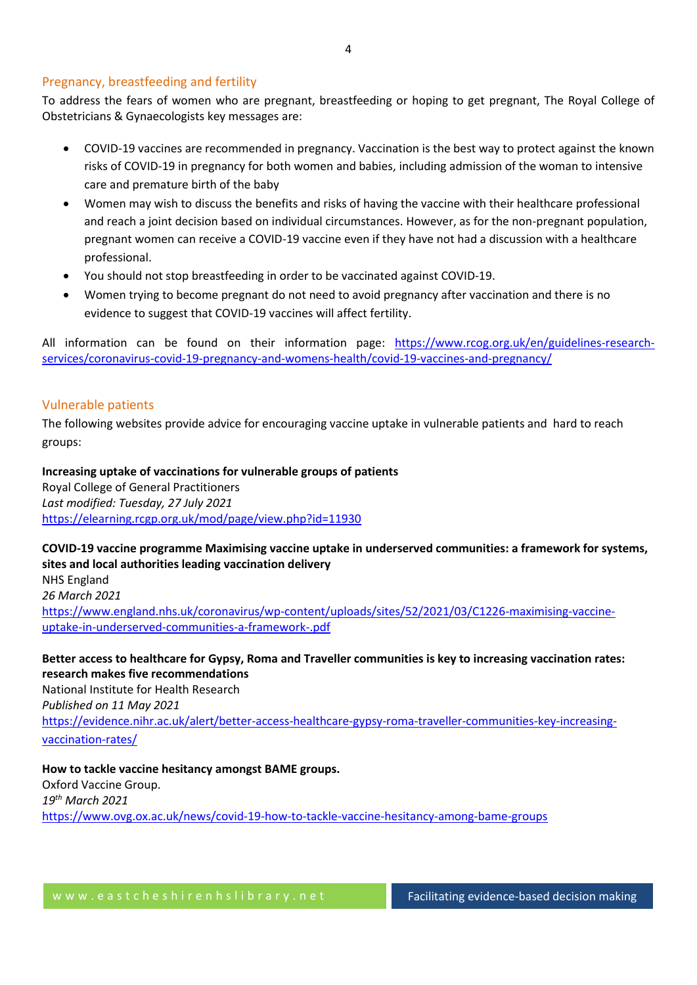#### Pregnancy, breastfeeding and fertility

To address the fears of women who are pregnant, breastfeeding or hoping to get pregnant, The Royal College of Obstetricians & Gynaecologists key messages are:

- COVID-19 vaccines are recommended in pregnancy. Vaccination is the best way to protect against the known risks of COVID-19 in pregnancy for both women and babies, including admission of the woman to intensive care and premature birth of the baby
- Women may wish to discuss the benefits and risks of having the vaccine with their healthcare professional and reach a joint decision based on individual circumstances. However, as for the non-pregnant population, pregnant women can receive a COVID-19 vaccine even if they have not had a discussion with a healthcare professional.
- You should not stop breastfeeding in order to be vaccinated against COVID-19.
- Women trying to become pregnant do not need to avoid pregnancy after vaccination and there is no evidence to suggest that COVID-19 vaccines will affect fertility.

All information can be found on their information page: [https://www.rcog.org.uk/en/guidelines-research](https://www.rcog.org.uk/en/guidelines-research-services/coronavirus-covid-19-pregnancy-and-womens-health/covid-19-vaccines-and-pregnancy/)[services/coronavirus-covid-19-pregnancy-and-womens-health/covid-19-vaccines-and-pregnancy/](https://www.rcog.org.uk/en/guidelines-research-services/coronavirus-covid-19-pregnancy-and-womens-health/covid-19-vaccines-and-pregnancy/)

#### Vulnerable patients

The following websites provide advice for encouraging vaccine uptake in vulnerable patients and hard to reach groups:

**Increasing uptake of vaccinations for vulnerable groups of patients**  Royal College of General Practitioners *Last modified: Tuesday, 27 July 2021* <https://elearning.rcgp.org.uk/mod/page/view.php?id=11930>

**COVID-19 vaccine programme Maximising vaccine uptake in underserved communities: a framework for systems, sites and local authorities leading vaccination delivery** NHS England *26 March 2021* [https://www.england.nhs.uk/coronavirus/wp-content/uploads/sites/52/2021/03/C1226-maximising-vaccine](https://www.england.nhs.uk/coronavirus/wp-content/uploads/sites/52/2021/03/C1226-maximising-vaccine-uptake-in-underserved-communities-a-framework-.pdf)[uptake-in-underserved-communities-a-framework-.pdf](https://www.england.nhs.uk/coronavirus/wp-content/uploads/sites/52/2021/03/C1226-maximising-vaccine-uptake-in-underserved-communities-a-framework-.pdf)

**Better access to healthcare for Gypsy, Roma and Traveller communities is key to increasing vaccination rates: research makes five recommendations** National Institute for Health Research *Published on 11 May 2021* [https://evidence.nihr.ac.uk/alert/better-access-healthcare-gypsy-roma-traveller-communities-key-increasing](https://evidence.nihr.ac.uk/alert/better-access-healthcare-gypsy-roma-traveller-communities-key-increasing-vaccination-rates/)[vaccination-rates/](https://evidence.nihr.ac.uk/alert/better-access-healthcare-gypsy-roma-traveller-communities-key-increasing-vaccination-rates/)

**How to tackle vaccine hesitancy amongst BAME groups.**  Oxford Vaccine Group. *19th March 2021* <https://www.ovg.ox.ac.uk/news/covid-19-how-to-tackle-vaccine-hesitancy-among-bame-groups>

w w w . e a s t c h e s h i r e n h s l i b r a r y . n e t Facilitating evidence-based decision making